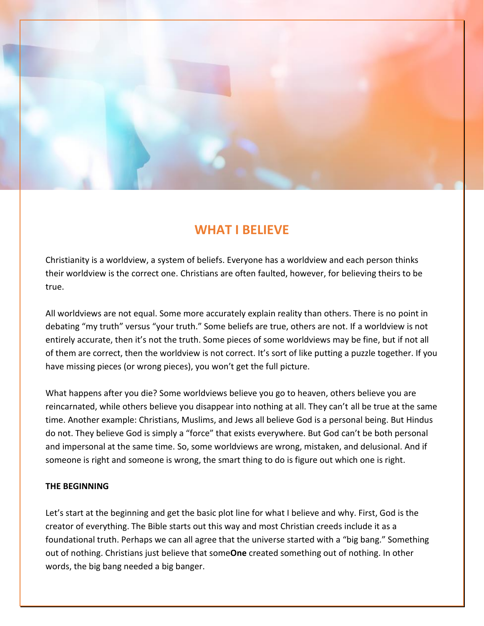

# **WHAT I BELIEVE**

Christianity is a worldview, a system of beliefs. Everyone has a worldview and each person thinks their worldview is the correct one. Christians are often faulted, however, for believing theirs to be true.

All worldviews are not equal. Some more accurately explain reality than others. There is no point in debating "my truth" versus "your truth." Some beliefs are true, others are not. If a worldview is not entirely accurate, then it's not the truth. Some pieces of some worldviews may be fine, but if not all of them are correct, then the worldview is not correct. It's sort of like putting a puzzle together. If you have missing pieces (or wrong pieces), you won't get the full picture.

What happens after you die? Some worldviews believe you go to heaven, others believe you are reincarnated, while others believe you disappear into nothing at all. They can't all be true at the same time. Another example: Christians, Muslims, and Jews all believe God is a personal being. But Hindus do not. They believe God is simply a "force" that exists everywhere. But God can't be both personal and impersonal at the same time. So, some worldviews are wrong, mistaken, and delusional. And if someone is right and someone is wrong, the smart thing to do is figure out which one is right.

## **THE BEGINNING**

Let's start at the beginning and get the basic plot line for what I believe and why. First, God is the creator of everything. The Bible starts out this way and most Christian creeds include it as a foundational truth. Perhaps we can all agree that the universe started with a "big bang." Something out of nothing. Christians just believe that some**One** created something out of nothing. In other words, the big bang needed a big banger.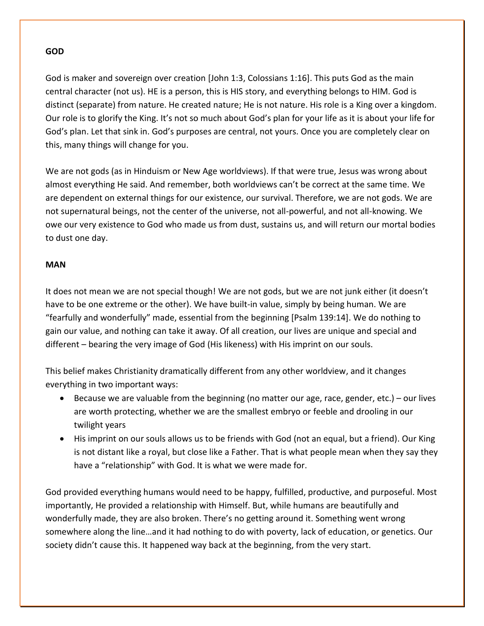#### **GOD**

God is maker and sovereign over creation [John 1:3, Colossians 1:16]. This puts God as the main central character (not us). HE is a person, this is HIS story, and everything belongs to HIM. God is distinct (separate) from nature. He created nature; He is not nature. His role is a King over a kingdom. Our role is to glorify the King. It's not so much about God's plan for your life as it is about your life for God's plan. Let that sink in. God's purposes are central, not yours. Once you are completely clear on this, many things will change for you.

We are not gods (as in Hinduism or New Age worldviews). If that were true, Jesus was wrong about almost everything He said. And remember, both worldviews can't be correct at the same time. We are dependent on external things for our existence, our survival. Therefore, we are not gods. We are not supernatural beings, not the center of the universe, not all-powerful, and not all-knowing. We owe our very existence to God who made us from dust, sustains us, and will return our mortal bodies to dust one day.

#### **MAN**

It does not mean we are not special though! We are not gods, but we are not junk either (it doesn't have to be one extreme or the other). We have built-in value, simply by being human. We are "fearfully and wonderfully" made, essential from the beginning [Psalm 139:14]. We do nothing to gain our value, and nothing can take it away. Of all creation, our lives are unique and special and different – bearing the very image of God (His likeness) with His imprint on our souls.

This belief makes Christianity dramatically different from any other worldview, and it changes everything in two important ways:

- Because we are valuable from the beginning (no matter our age, race, gender, etc.) our lives are worth protecting, whether we are the smallest embryo or feeble and drooling in our twilight years
- His imprint on our souls allows us to be friends with God (not an equal, but a friend). Our King is not distant like a royal, but close like a Father. That is what people mean when they say they have a "relationship" with God. It is what we were made for.

God provided everything humans would need to be happy, fulfilled, productive, and purposeful. Most importantly, He provided a relationship with Himself. But, while humans are beautifully and wonderfully made, they are also broken. There's no getting around it. Something went wrong somewhere along the line…and it had nothing to do with poverty, lack of education, or genetics. Our society didn't cause this. It happened way back at the beginning, from the very start.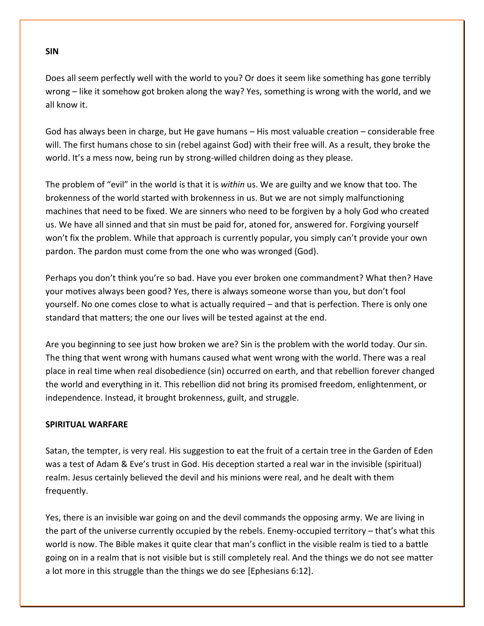Does all seem perfectly well with the world to you? Or does it seem like something has gone terribly wrong – like it somehow got broken along the way? Yes, something is wrong with the world, and we all know it.

God has always been in charge, but He gave humans – His most valuable creation – considerable free will. The first humans chose to sin (rebel against God) with their free will. As a result, they broke the world. It's a mess now, being run by strong-willed children doing as they please.

The problem of "evil" in the world is that it is *within* us. We are guilty and we know that too. The brokenness of the world started with brokenness in us. But we are not simply malfunctioning machines that need to be fixed. We are sinners who need to be forgiven by a holy God who created us. We have all sinned and that sin must be paid for, atoned for, answered for. Forgiving yourself won't fix the problem. While that approach is currently popular, you simply can't provide your own pardon. The pardon must come from the one who was wronged (God).

Perhaps you don't think you're so bad. Have you ever broken one commandment? What then? Have your motives always been good? Yes, there is always someone worse than you, but don't fool yourself. No one comes close to what is actually required – and that is perfection. There is only one standard that matters; the one our lives will be tested against at the end.

Are you beginning to see just how broken we are? Sin is the problem with the world today. Our sin. The thing that went wrong with humans caused what went wrong with the world. There was a real place in real time when real disobedience (sin) occurred on earth, and that rebellion forever changed the world and everything in it. This rebellion did not bring its promised freedom, enlightenment, or independence. Instead, it brought brokenness, guilt, and struggle.

## **SPIRITUAL WARFARE**

Satan, the tempter, is very real. His suggestion to eat the fruit of a certain tree in the Garden of Eden was a test of Adam & Eve's trust in God. His deception started a real war in the invisible (spiritual) realm. Jesus certainly believed the devil and his minions were real, and he dealt with them frequently.

Yes, there is an invisible war going on and the devil commands the opposing army. We are living in the part of the universe currently occupied by the rebels. Enemy-occupied territory – that's what this world is now. The Bible makes it quite clear that man's conflict in the visible realm is tied to a battle going on in a realm that is not visible but is still completely real. And the things we do not see matter a lot more in this struggle than the things we do see [Ephesians 6:12].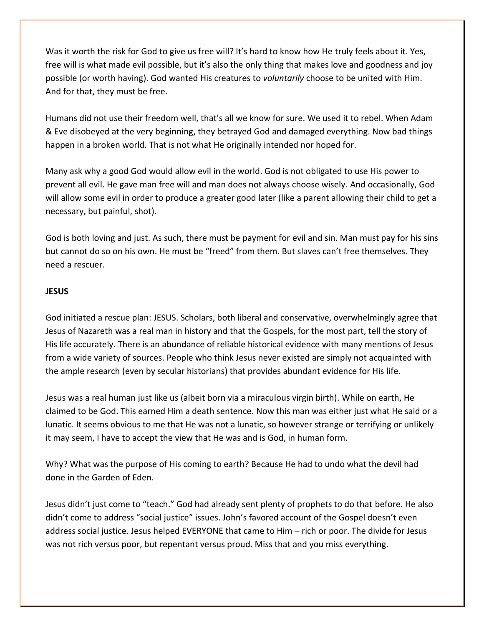Was it worth the risk for God to give us free will? It's hard to know how He truly feels about it. Yes, free will is what made evil possible, but it's also the only thing that makes love and goodness and joy possible (or worth having). God wanted His creatures to *voluntarily* choose to be united with Him. And for that, they must be free.

Humans did not use their freedom well, that's all we know for sure. We used it to rebel. When Adam & Eve disobeyed at the very beginning, they betrayed God and damaged everything. Now bad things happen in a broken world. That is not what He originally intended nor hoped for.

Many ask why a good God would allow evil in the world. God is not obligated to use His power to prevent all evil. He gave man free will and man does not always choose wisely. And occasionally, God will allow some evil in order to produce a greater good later (like a parent allowing their child to get a necessary, but painful, shot).

God is both loving and just. As such, there must be payment for evil and sin. Man must pay for his sins but cannot do so on his own. He must be "freed" from them. But slaves can't free themselves. They need a rescuer.

## **JESUS**

God initiated a rescue plan: JESUS. Scholars, both liberal and conservative, overwhelmingly agree that Jesus of Nazareth was a real man in history and that the Gospels, for the most part, tell the story of His life accurately. There is an abundance of reliable historical evidence with many mentions of Jesus from a wide variety of sources. People who think Jesus never existed are simply not acquainted with the ample research (even by secular historians) that provides abundant evidence for His life.

Jesus was a real human just like us (albeit born via a miraculous virgin birth). While on earth, He claimed to be God. This earned Him a death sentence. Now this man was either just what He said or a lunatic. It seems obvious to me that He was not a lunatic, so however strange or terrifying or unlikely it may seem, I have to accept the view that He was and is God, in human form.

Why? What was the purpose of His coming to earth? Because He had to undo what the devil had done in the Garden of Eden.

Jesus didn't just come to "teach." God had already sent plenty of prophets to do that before. He also didn't come to address "social justice" issues. John's favored account of the Gospel doesn't even address social justice. Jesus helped EVERYONE that came to Him – rich or poor. The divide for Jesus was not rich versus poor, but repentant versus proud. Miss that and you miss everything.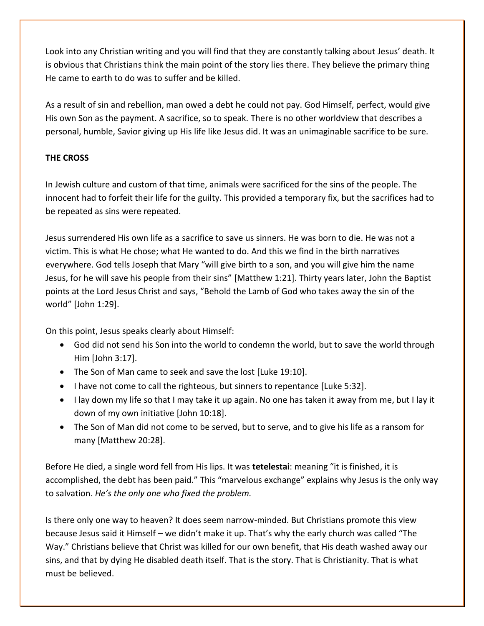Look into any Christian writing and you will find that they are constantly talking about Jesus' death. It is obvious that Christians think the main point of the story lies there. They believe the primary thing He came to earth to do was to suffer and be killed.

As a result of sin and rebellion, man owed a debt he could not pay. God Himself, perfect, would give His own Son as the payment. A sacrifice, so to speak. There is no other worldview that describes a personal, humble, Savior giving up His life like Jesus did. It was an unimaginable sacrifice to be sure.

## **THE CROSS**

In Jewish culture and custom of that time, animals were sacrificed for the sins of the people. The innocent had to forfeit their life for the guilty. This provided a temporary fix, but the sacrifices had to be repeated as sins were repeated.

Jesus surrendered His own life as a sacrifice to save us sinners. He was born to die. He was not a victim. This is what He chose; what He wanted to do. And this we find in the birth narratives everywhere. God tells Joseph that Mary "will give birth to a son, and you will give him the name Jesus, for he will save his people from their sins" [Matthew 1:21]. Thirty years later, John the Baptist points at the Lord Jesus Christ and says, "Behold the Lamb of God who takes away the sin of the world" [John 1:29].

On this point, Jesus speaks clearly about Himself:

- God did not send his Son into the world to condemn the world, but to save the world through Him [John 3:17].
- The Son of Man came to seek and save the lost [Luke 19:10].
- I have not come to call the righteous, but sinners to repentance [Luke 5:32].
- I lay down my life so that I may take it up again. No one has taken it away from me, but I lay it down of my own initiative [John 10:18].
- The Son of Man did not come to be served, but to serve, and to give his life as a ransom for many [Matthew 20:28].

Before He died, a single word fell from His lips. It was **tetelestai**: meaning "it is finished, it is accomplished, the debt has been paid." This "marvelous exchange" explains why Jesus is the only way to salvation. *He's the only one who fixed the problem.*

Is there only one way to heaven? It does seem narrow-minded. But Christians promote this view because Jesus said it Himself – we didn't make it up. That's why the early church was called "The Way." Christians believe that Christ was killed for our own benefit, that His death washed away our sins, and that by dying He disabled death itself. That is the story. That is Christianity. That is what must be believed.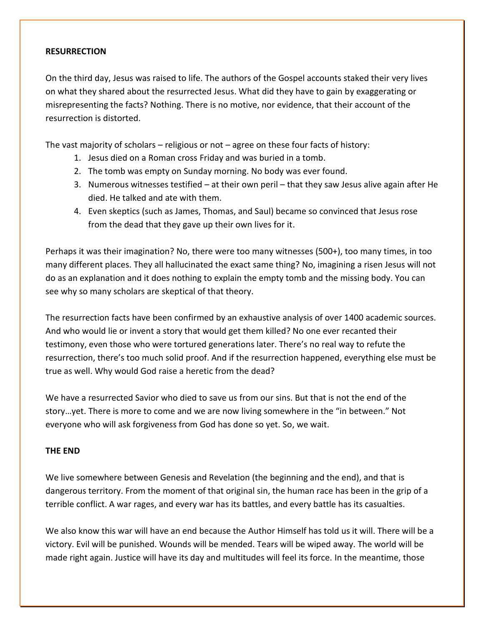#### **RESURRECTION**

On the third day, Jesus was raised to life. The authors of the Gospel accounts staked their very lives on what they shared about the resurrected Jesus. What did they have to gain by exaggerating or misrepresenting the facts? Nothing. There is no motive, nor evidence, that their account of the resurrection is distorted.

The vast majority of scholars – religious or not – agree on these four facts of history:

- 1. Jesus died on a Roman cross Friday and was buried in a tomb.
- 2. The tomb was empty on Sunday morning. No body was ever found.
- 3. Numerous witnesses testified at their own peril that they saw Jesus alive again after He died. He talked and ate with them.
- 4. Even skeptics (such as James, Thomas, and Saul) became so convinced that Jesus rose from the dead that they gave up their own lives for it.

Perhaps it was their imagination? No, there were too many witnesses (500+), too many times, in too many different places. They all hallucinated the exact same thing? No, imagining a risen Jesus will not do as an explanation and it does nothing to explain the empty tomb and the missing body. You can see why so many scholars are skeptical of that theory.

The resurrection facts have been confirmed by an exhaustive analysis of over 1400 academic sources. And who would lie or invent a story that would get them killed? No one ever recanted their testimony, even those who were tortured generations later. There's no real way to refute the resurrection, there's too much solid proof. And if the resurrection happened, everything else must be true as well. Why would God raise a heretic from the dead?

We have a resurrected Savior who died to save us from our sins. But that is not the end of the story…yet. There is more to come and we are now living somewhere in the "in between." Not everyone who will ask forgiveness from God has done so yet. So, we wait.

#### **THE END**

We live somewhere between Genesis and Revelation (the beginning and the end), and that is dangerous territory. From the moment of that original sin, the human race has been in the grip of a terrible conflict. A war rages, and every war has its battles, and every battle has its casualties.

We also know this war will have an end because the Author Himself has told us it will. There will be a victory. Evil will be punished. Wounds will be mended. Tears will be wiped away. The world will be made right again. Justice will have its day and multitudes will feel its force. In the meantime, those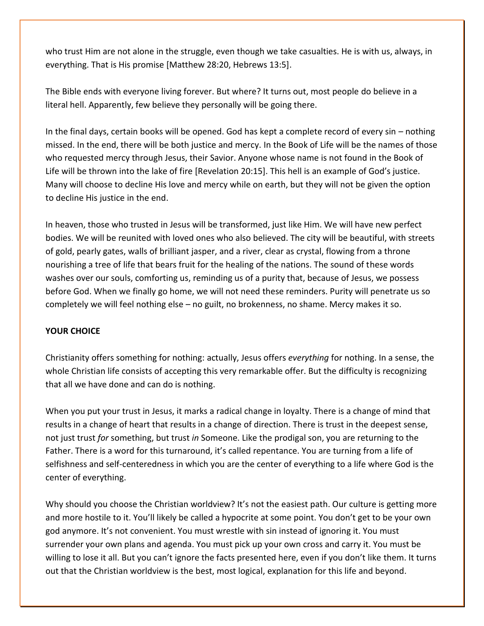who trust Him are not alone in the struggle, even though we take casualties. He is with us, always, in everything. That is His promise [Matthew 28:20, Hebrews 13:5].

The Bible ends with everyone living forever. But where? It turns out, most people do believe in a literal hell. Apparently, few believe they personally will be going there.

In the final days, certain books will be opened. God has kept a complete record of every sin – nothing missed. In the end, there will be both justice and mercy. In the Book of Life will be the names of those who requested mercy through Jesus, their Savior. Anyone whose name is not found in the Book of Life will be thrown into the lake of fire [Revelation 20:15]. This hell is an example of God's justice. Many will choose to decline His love and mercy while on earth, but they will not be given the option to decline His justice in the end.

In heaven, those who trusted in Jesus will be transformed, just like Him. We will have new perfect bodies. We will be reunited with loved ones who also believed. The city will be beautiful, with streets of gold, pearly gates, walls of brilliant jasper, and a river, clear as crystal, flowing from a throne nourishing a tree of life that bears fruit for the healing of the nations. The sound of these words washes over our souls, comforting us, reminding us of a purity that, because of Jesus, we possess before God. When we finally go home, we will not need these reminders. Purity will penetrate us so completely we will feel nothing else – no guilt, no brokenness, no shame. Mercy makes it so.

## **YOUR CHOICE**

Christianity offers something for nothing: actually, Jesus offers *everything* for nothing. In a sense, the whole Christian life consists of accepting this very remarkable offer. But the difficulty is recognizing that all we have done and can do is nothing.

When you put your trust in Jesus, it marks a radical change in loyalty. There is a change of mind that results in a change of heart that results in a change of direction. There is trust in the deepest sense, not just trust *for* something, but trust *in* Someone. Like the prodigal son, you are returning to the Father. There is a word for this turnaround, it's called repentance. You are turning from a life of selfishness and self-centeredness in which you are the center of everything to a life where God is the center of everything.

Why should you choose the Christian worldview? It's not the easiest path. Our culture is getting more and more hostile to it. You'll likely be called a hypocrite at some point. You don't get to be your own god anymore. It's not convenient. You must wrestle with sin instead of ignoring it. You must surrender your own plans and agenda. You must pick up your own cross and carry it. You must be willing to lose it all. But you can't ignore the facts presented here, even if you don't like them. It turns out that the Christian worldview is the best, most logical, explanation for this life and beyond.